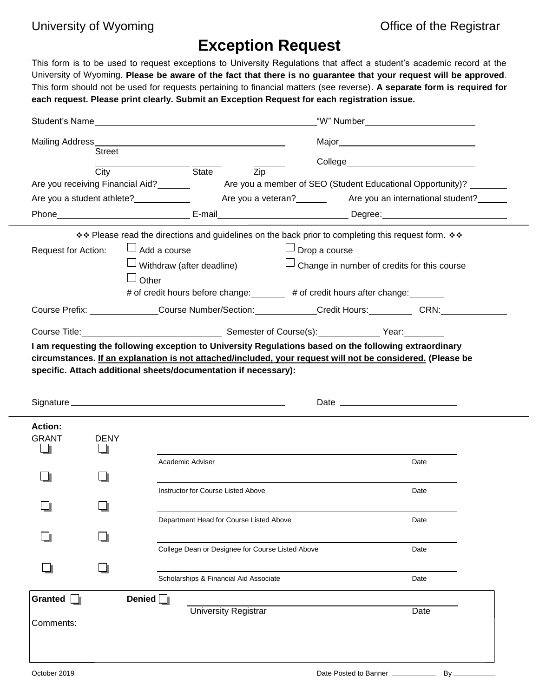## **Exception Request**

This form is to be used to request exceptions to University Regulations that affect a student's academic record at the University of Wyoming**. Please be aware of the fact that there is no guarantee that your request will be approved**. This form should not be used for requests pertaining to financial matters (see reverse). **A separate form is required for each request. Please print clearly. Submit an Exception Request for each registration issue.**

|                                                                                                                                                                                                                                      |                     | Student's Name                                                                                                                                                                                                                      | "W" Number___________________________ |                                                    |
|--------------------------------------------------------------------------------------------------------------------------------------------------------------------------------------------------------------------------------------|---------------------|-------------------------------------------------------------------------------------------------------------------------------------------------------------------------------------------------------------------------------------|---------------------------------------|----------------------------------------------------|
|                                                                                                                                                                                                                                      |                     |                                                                                                                                                                                                                                     |                                       |                                                    |
|                                                                                                                                                                                                                                      | <b>Street</b>       |                                                                                                                                                                                                                                     |                                       |                                                    |
|                                                                                                                                                                                                                                      | City                | <b>State</b> State<br>Zip                                                                                                                                                                                                           |                                       |                                                    |
|                                                                                                                                                                                                                                      |                     |                                                                                                                                                                                                                                     |                                       |                                                    |
| Are you a student athlete?<br>Are you a veteran?<br>Are you an international student?<br>Are you an international student?<br>Letter and the you are international student?<br>Letter and the you are international student?<br>Lett |                     |                                                                                                                                                                                                                                     |                                       |                                                    |
|                                                                                                                                                                                                                                      |                     | Phone <b>Degree:</b> The Contract of Contract Contract Contract Contract Contract Contract Contract Contract Contract Contract Contract Contract Contract Contract Contract Contract Contract Contract Contract Contract Contract C |                                       |                                                    |
|                                                                                                                                                                                                                                      |                     | ** Please read the directions and guidelines on the back prior to completing this request form. **                                                                                                                                  |                                       |                                                    |
| Request for Action:                                                                                                                                                                                                                  | $\Box$ Add a course |                                                                                                                                                                                                                                     | $\Box$ Drop a course                  |                                                    |
|                                                                                                                                                                                                                                      |                     | $\Box$ Withdraw (after deadline)                                                                                                                                                                                                    |                                       | $\Box$ Change in number of credits for this course |
|                                                                                                                                                                                                                                      | $\sqcup$ Other      |                                                                                                                                                                                                                                     |                                       |                                                    |
|                                                                                                                                                                                                                                      |                     | # of credit hours before change: # of credit hours after change:                                                                                                                                                                    |                                       |                                                    |
|                                                                                                                                                                                                                                      |                     | Course Prefix: ______________Course Number/Section: ___________Credit Hours: _________CRN: _______________                                                                                                                          |                                       |                                                    |
|                                                                                                                                                                                                                                      |                     | Course Title: <u>Course Title: Course Course (s):</u> Course(s): Course Course (s): Course Title:                                                                                                                                   |                                       |                                                    |
|                                                                                                                                                                                                                                      |                     | I am requesting the following exception to University Regulations based on the following extraordinary                                                                                                                              |                                       |                                                    |
|                                                                                                                                                                                                                                      |                     | circumstances. If an explanation is not attached/included, your request will not be considered. (Please be                                                                                                                          |                                       |                                                    |
|                                                                                                                                                                                                                                      |                     | specific. Attach additional sheets/documentation if necessary):                                                                                                                                                                     |                                       |                                                    |
|                                                                                                                                                                                                                                      |                     |                                                                                                                                                                                                                                     |                                       |                                                    |
|                                                                                                                                                                                                                                      |                     |                                                                                                                                                                                                                                     |                                       |                                                    |
| <b>Action:</b>                                                                                                                                                                                                                       |                     |                                                                                                                                                                                                                                     |                                       |                                                    |
| <b>GRANT</b>                                                                                                                                                                                                                         | <b>DENY</b>         |                                                                                                                                                                                                                                     |                                       |                                                    |
|                                                                                                                                                                                                                                      |                     |                                                                                                                                                                                                                                     |                                       |                                                    |
|                                                                                                                                                                                                                                      |                     | Academic Adviser                                                                                                                                                                                                                    |                                       | Date                                               |
|                                                                                                                                                                                                                                      |                     |                                                                                                                                                                                                                                     |                                       |                                                    |
|                                                                                                                                                                                                                                      |                     | Instructor for Course Listed Above                                                                                                                                                                                                  |                                       | Date                                               |
|                                                                                                                                                                                                                                      |                     |                                                                                                                                                                                                                                     |                                       |                                                    |
|                                                                                                                                                                                                                                      |                     | Department Head for Course Listed Above                                                                                                                                                                                             |                                       | Date                                               |
|                                                                                                                                                                                                                                      |                     |                                                                                                                                                                                                                                     |                                       |                                                    |
|                                                                                                                                                                                                                                      |                     |                                                                                                                                                                                                                                     |                                       |                                                    |
|                                                                                                                                                                                                                                      |                     | College Dean or Designee for Course Listed Above                                                                                                                                                                                    |                                       | Date                                               |
|                                                                                                                                                                                                                                      |                     |                                                                                                                                                                                                                                     |                                       | Date                                               |
|                                                                                                                                                                                                                                      |                     | Scholarships & Financial Aid Associate                                                                                                                                                                                              |                                       |                                                    |
| Granted $\Box$                                                                                                                                                                                                                       | Denied $\Box$       |                                                                                                                                                                                                                                     |                                       |                                                    |
| Comments:                                                                                                                                                                                                                            |                     | <b>University Registrar</b>                                                                                                                                                                                                         |                                       | Date                                               |
|                                                                                                                                                                                                                                      |                     |                                                                                                                                                                                                                                     |                                       |                                                    |
|                                                                                                                                                                                                                                      |                     |                                                                                                                                                                                                                                     |                                       |                                                    |